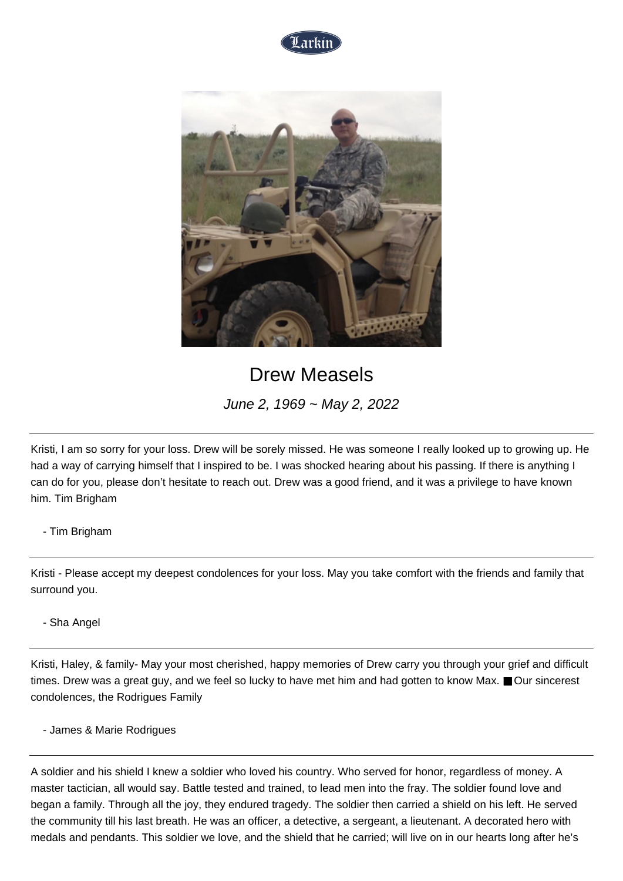



## Drew Measels

June 2, 1969 ~ May 2, 2022

Kristi, I am so sorry for your loss. Drew will be sorely missed. He was someone I really looked up to growing up. He had a way of carrying himself that I inspired to be. I was shocked hearing about his passing. If there is anything I can do for you, please don't hesitate to reach out. Drew was a good friend, and it was a privilege to have known him. Tim Brigham

## - Tim Brigham

Kristi - Please accept my deepest condolences for your loss. May you take comfort with the friends and family that surround you.

## - Sha Angel

Kristi, Haley, & family- May your most cherished, happy memories of Drew carry you through your grief and difficult times. Drew was a great guy, and we feel so lucky to have met him and had gotten to know Max. ■ Our sincerest condolences, the Rodrigues Family

- James & Marie Rodrigues

A soldier and his shield I knew a soldier who loved his country. Who served for honor, regardless of money. A master tactician, all would say. Battle tested and trained, to lead men into the fray. The soldier found love and began a family. Through all the joy, they endured tragedy. The soldier then carried a shield on his left. He served the community till his last breath. He was an officer, a detective, a sergeant, a lieutenant. A decorated hero with medals and pendants. This soldier we love, and the shield that he carried; will live on in our hearts long after he's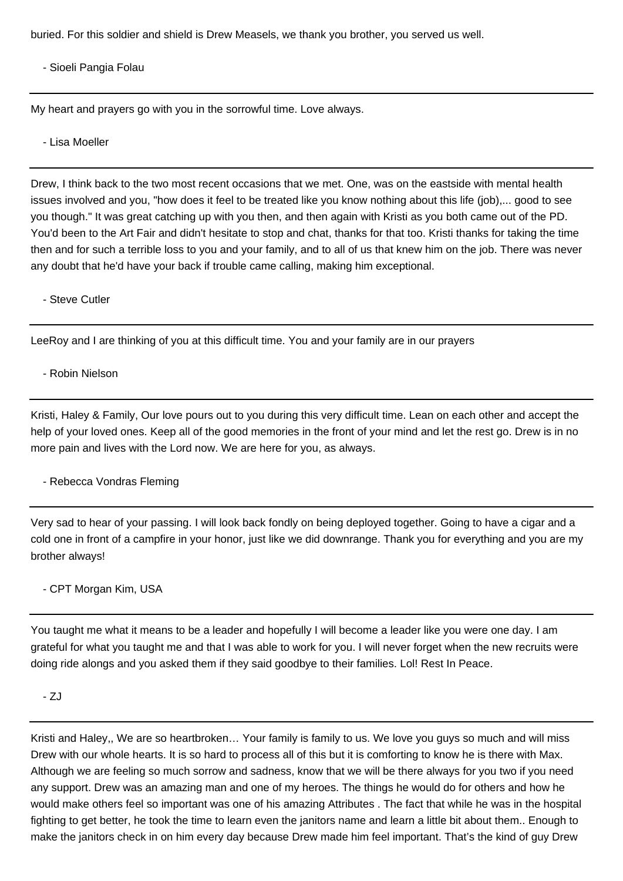buried. For this soldier and shield is Drew Measels, we thank you brother, you served us well.

- Sioeli Pangia Folau

My heart and prayers go with you in the sorrowful time. Love always.

- Lisa Moeller

Drew, I think back to the two most recent occasions that we met. One, was on the eastside with mental health issues involved and you, "how does it feel to be treated like you know nothing about this life (job),... good to see you though." It was great catching up with you then, and then again with Kristi as you both came out of the PD. You'd been to the Art Fair and didn't hesitate to stop and chat, thanks for that too. Kristi thanks for taking the time then and for such a terrible loss to you and your family, and to all of us that knew him on the job. There was never any doubt that he'd have your back if trouble came calling, making him exceptional.

- Steve Cutler

LeeRoy and I are thinking of you at this difficult time. You and your family are in our prayers

- Robin Nielson

Kristi, Haley & Family, Our love pours out to you during this very difficult time. Lean on each other and accept the help of your loved ones. Keep all of the good memories in the front of your mind and let the rest go. Drew is in no more pain and lives with the Lord now. We are here for you, as always.

- Rebecca Vondras Fleming

Very sad to hear of your passing. I will look back fondly on being deployed together. Going to have a cigar and a cold one in front of a campfire in your honor, just like we did downrange. Thank you for everything and you are my brother always!

## - CPT Morgan Kim, USA

You taught me what it means to be a leader and hopefully I will become a leader like you were one day. I am grateful for what you taught me and that I was able to work for you. I will never forget when the new recruits were doing ride alongs and you asked them if they said goodbye to their families. Lol! Rest In Peace.

- ZJ

Kristi and Haley,, We are so heartbroken… Your family is family to us. We love you guys so much and will miss Drew with our whole hearts. It is so hard to process all of this but it is comforting to know he is there with Max. Although we are feeling so much sorrow and sadness, know that we will be there always for you two if you need any support. Drew was an amazing man and one of my heroes. The things he would do for others and how he would make others feel so important was one of his amazing Attributes . The fact that while he was in the hospital fighting to get better, he took the time to learn even the janitors name and learn a little bit about them.. Enough to make the janitors check in on him every day because Drew made him feel important. That's the kind of guy Drew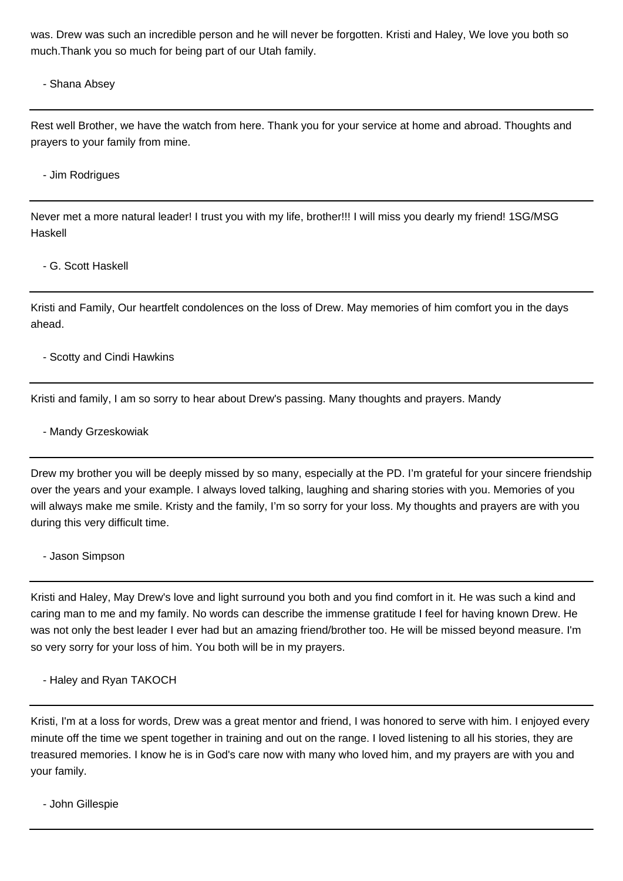was. Drew was such an incredible person and he will never be forgotten. Kristi and Haley, We love you both so much.Thank you so much for being part of our Utah family.

- Shana Absey

Rest well Brother, we have the watch from here. Thank you for your service at home and abroad. Thoughts and prayers to your family from mine.

- Jim Rodrigues

Never met a more natural leader! I trust you with my life, brother!!! I will miss you dearly my friend! 1SG/MSG Haskell

- G. Scott Haskell

Kristi and Family, Our heartfelt condolences on the loss of Drew. May memories of him comfort you in the days ahead.

- Scotty and Cindi Hawkins

Kristi and family, I am so sorry to hear about Drew's passing. Many thoughts and prayers. Mandy

- Mandy Grzeskowiak

Drew my brother you will be deeply missed by so many, especially at the PD. I'm grateful for your sincere friendship over the years and your example. I always loved talking, laughing and sharing stories with you. Memories of you will always make me smile. Kristy and the family, I'm so sorry for your loss. My thoughts and prayers are with you during this very difficult time.

- Jason Simpson

Kristi and Haley, May Drew's love and light surround you both and you find comfort in it. He was such a kind and caring man to me and my family. No words can describe the immense gratitude I feel for having known Drew. He was not only the best leader I ever had but an amazing friend/brother too. He will be missed beyond measure. I'm so very sorry for your loss of him. You both will be in my prayers.

- Haley and Ryan TAKOCH

Kristi, I'm at a loss for words, Drew was a great mentor and friend, I was honored to serve with him. I enjoyed every minute off the time we spent together in training and out on the range. I loved listening to all his stories, they are treasured memories. I know he is in God's care now with many who loved him, and my prayers are with you and your family.

- John Gillespie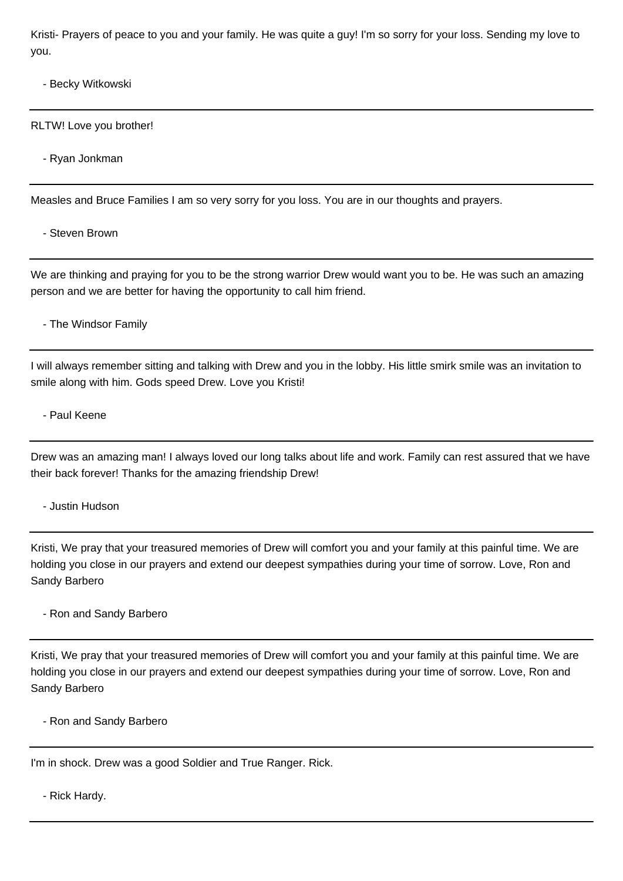Kristi- Prayers of peace to you and your family. He was quite a guy! I'm so sorry for your loss. Sending my love to you.

- Becky Witkowski
- RLTW! Love you brother!
	- Ryan Jonkman

Measles and Bruce Families I am so very sorry for you loss. You are in our thoughts and prayers.

- Steven Brown

We are thinking and praying for you to be the strong warrior Drew would want you to be. He was such an amazing person and we are better for having the opportunity to call him friend.

- The Windsor Family

I will always remember sitting and talking with Drew and you in the lobby. His little smirk smile was an invitation to smile along with him. Gods speed Drew. Love you Kristi!

- Paul Keene

Drew was an amazing man! I always loved our long talks about life and work. Family can rest assured that we have their back forever! Thanks for the amazing friendship Drew!

- Justin Hudson

Kristi, We pray that your treasured memories of Drew will comfort you and your family at this painful time. We are holding you close in our prayers and extend our deepest sympathies during your time of sorrow. Love, Ron and Sandy Barbero

- Ron and Sandy Barbero

Kristi, We pray that your treasured memories of Drew will comfort you and your family at this painful time. We are holding you close in our prayers and extend our deepest sympathies during your time of sorrow. Love, Ron and Sandy Barbero

- Ron and Sandy Barbero

I'm in shock. Drew was a good Soldier and True Ranger. Rick.

- Rick Hardy.